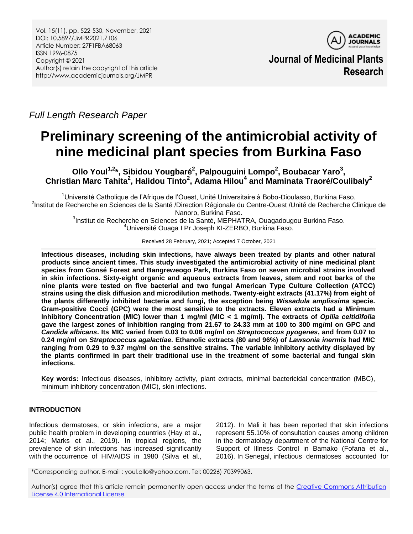

**Journal of Medicinal Plants Research**

*Full Length Research Paper*

# **Preliminary screening of the antimicrobial activity of nine medicinal plant species from Burkina Faso**

**Ollo Youl1,2 \*, Sibidou Yougbaré<sup>2</sup> , Palpouguini Lompo<sup>2</sup> , Boubacar Yaro<sup>3</sup> , Christian Marc Tahita<sup>2</sup> , Halidou Tinto<sup>2</sup> , Adama Hilou<sup>4</sup> and Maminata Traoré/Coulibaly<sup>2</sup>**

<sup>1</sup>Université Catholique de l'Afrique de l'Ouest, Unité Universitaire à Bobo-Dioulasso, Burkina Faso. <sup>2</sup>Institut de Recherche en Sciences de la Santé /Direction Régionale du Centre-Ouest /Unité de Recherche Clinique de Nanoro, Burkina Faso.

<sup>3</sup>Institut de Recherche en Sciences de la Santé, MEPHATRA, Ouagadougou Burkina Faso. <sup>4</sup>Université Ouaga I Pr Joseph KI-ZERBO, Burkina Faso.

Received 28 February, 2021; Accepted 7 October, 2021

**Infectious diseases, including skin infections, have always been treated by plants and other natural products since ancient times. This study investigated the antimicrobial activity of nine medicinal plant species from Gonsé Forest and Bangreweogo Park, Burkina Faso on seven microbial strains involved in skin infections. Sixty-eight organic and aqueous extracts from leaves, stem and root barks of the nine plants were tested on five bacterial and two fungal American Type Culture Collection (ATCC) strains using the disk diffusion and microdilution methods. Twenty-eight extracts (41.17%) from eight of the plants differently inhibited bacteria and fungi, the exception being** *Wissadula amplissima* **specie. Gram-positive Cocci (GPC) were the most sensitive to the extracts. Eleven extracts had a Minimum Inhibitory Concentration (MIC) lower than 1 mg/ml (MIC < 1 mg/ml). The extracts of** *Opilia celtidifolia*  **gave the largest zones of inhibition ranging from 21.67 to 24.33 mm at 100 to 300 mg/ml on GPC and**  *Candida albicans***. Its MIC varied from 0.03 to 0.06 mg/ml on** *Streptococcus pyogenes***, and from 0.07 to 0.24 mg/ml on** *Streptococcus agalactiae***. Ethanolic extracts (80 and 96%) of** *Lawsonia inermis* **had MIC ranging from 0.29 to 9.37 mg/ml on the sensitive strains. The variable inhibitory activity displayed by the plants confirmed in part their traditional use in the treatment of some bacterial and fungal skin infections.**

**Key words:** Infectious diseases, inhibitory activity, plant extracts, minimal bactericidal concentration (MBC), minimum inhibitory concentration (MIC), skin infections.

# **INTRODUCTION**

Infectious dermatoses, or skin infections, are a major public health problem in developing countries (Hay et al., 2014; Marks et al., 2019). In tropical regions, the prevalence of skin infections has increased significantly with the occurrence of HIV/AIDS in 1980 (Silva et al.,

2012). In Mali it has been reported that skin infections represent 55.10% of consultation causes among children in the dermatology department of the National Centre for Support of Illness Control in Bamako (Fofana et al., 2016). In Senegal, infectious dermatoses accounted for

\*Corresponding author. E-mail : youl.ollo@yahoo.com. Tel: 00226) 70399063.

Author(s) agree that this article remain permanently open access under the terms of the [Creative Commons Attribution](http://creativecommons.org/licenses/by/4.0/deed.en_US)  [License 4.0 International License](http://creativecommons.org/licenses/by/4.0/deed.en_US)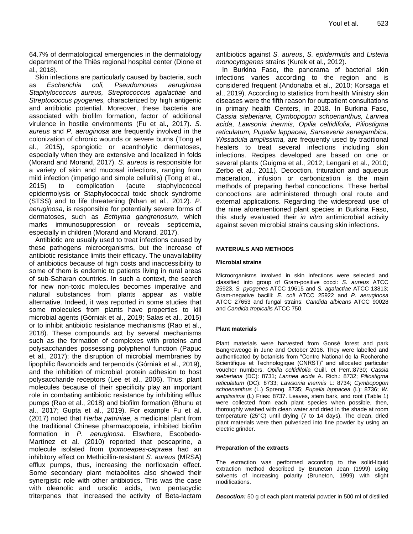64.7% of dermatological emergencies in the dermatology department of the Thiès regional hospital center (Dione et al., 2018).

Skin infections are particularly caused by bacteria, such as *Escherichia coli, Pseudomonas aeruginosa Staphylococcus aureus, Streptococcus agalactiae* and *Streptococcus pyogenes,* characterized by high antigenic and antibiotic potential. Moreover, these bacteria are associated with biofilm formation, factor of additional virulence in hostile environments (Fu et al., 2017). *S. aureus* and *P. aeruginosa* are frequently involved in the colonization of chronic wounds or severe burns (Tong et al., 2015), spongiotic or acantholytic dermatoses, especially when they are extensive and localized in folds (Morand and Morand, 2017). *S. aureus* is responsible for a variety of skin and mucosal infections, ranging from mild infection (impetigo and simple cellulitis) (Tong et al., 2015) to complication (acute staphylococcal epidermolysis or Staphylococcal toxic shock syndrome (STSS) and to life threatening (Nhan et al., 2012). *P. aeruginosa*, is responsible for potentially severe forms of dermatoses, such as *Ecthyma gangrenosum*, which marks immunosuppression or reveals septicemia, especially in children (Morand and Morand, 2017).

Antibiotic are usually used to treat infections caused by these pathogens microorganisms, but the increase of antibiotic resistance limits their efficacy. The unavailability of antibiotics because of high costs and inaccessibility to some of them is endemic to patients living in rural areas of sub-Saharan countries. In such a context, the search for new non-toxic molecules becomes imperative and natural substances from plants appear as viable alternative. Indeed, it was reported in some studies that some molecules from plants have properties to kill microbial agents (Górniak et al., 2019; Salas et al., 2015) or to inhibit antibiotic resistance mechanisms (Rao et al., 2018). These compounds act by several mechanisms such as the formation of complexes with proteins and polysaccharides possessing polyphenol function (Papuc et al., 2017); the disruption of microbial membranes by lipophilic flavonoids and terpenoids (Górniak et al., 2019), and the inhibition of microbial protein adhesion to host polysaccharide receptors (Lee et al., 2006). Thus, plant molecules because of their specificity play an important role in combating antibiotic resistance by inhibiting efflux pumps (Rao et al., 2018) and biofilm formation (Bhunu et al., 2017; Gupta et al., 2019). For example Fu et al. (2017) noted that *Herba patriniae,* a medicinal plant from the traditional Chinese pharmacopoeia, inhibited biofilm formation in *P. aeruginosa.* Elswhere, Escobedo-Martínez et al. (2010) reported that pescaprine, a molecule isolated from *Ipomoeapes-capraea* had an inhibitory effect on Methicillin-resistant *S. aureus* (MRSA) efflux pumps, thus, increasing the norfloxacin effect. Some secondary plant metabolites also showed their synergistic role with other antibiotics. This was the case with oleanolic and ursolic acids, two pentacyclic triterpenes that increased the activity of Beta-lactam antibiotics against *S. aureus*, *S. epidermidis* and *Listeria monocytogenes* strains (Kurek et al., 2012).

In Burkina Faso, the panorama of bacterial skin infections varies according to the region and is considered frequent (Andonaba et al., 2010; Korsaga et al., 2019). According to statistics from health Ministry skin diseases were the fifth reason for outpatient consultations in primary health Centers, in 2018. In Burkina Faso, *Cassia sieberiana*, *Cymbopogon schoenanthus, Lannea acida*, *Lawsonia inermis, Opilia celtidifolia, Piliostigma reticulatum, Pupalia lappacea, Sanseveria senegambica, Wissadula amplissima,* are frequently used by traditional healers to treat several infections including skin infections. Recipes developed are based on one or several plants (Guigma et al., 2012; Lengani et al., 2010; Zerbo et al., 2011). Decoction, trituration and aqueous maceration, infusion or carbonization is the main methods of preparing herbal concoctions. These herbal concoctions are administered through oral route and external applications. Regarding the widespread use of the nine aforementioned plant species in Burkina Faso, this study evaluated their *in vitro* antimicrobial activity against seven microbial strains causing skin infections.

# **MATERIALS AND METHODS**

#### **Microbial strains**

Microorganisms involved in skin infections were selected and classified into group of Gram-positive cocci: *S. aureus* ATCC 25923, *S. pyogenes* ATCC 19615 and *S. agalactiae* ATCC 13813; Gram-negative bacilli: *E. coli* ATCC 25922 and *P. aeruginosa* ATCC 27653 and fungal strains: *Candida albicans* ATCC 90028 and *Candida tropicalis* ATCC 750.

#### **Plant materials**

Plant materials were harvested from Gonsé forest and park Bangreweogo in June and October 2016. They were labelled and authenticated by botanists from "Centre National de la Recherche Scientifique et Technologique (CNRST)" and allocated particular voucher numbers. *Opilia celtidifolia* Guill. et Perr.:8730; *Cassia sieberiana* (DC): 8731; *Lannea acida* A. Rich.: 8732; *Piliostigma reticulatum* (DC): 8733; *Lawsonia inermis* L: 8734; *Cymbopogon schoenanthus* (L.) Spreng. 8735; *Pupalia lappacea* (L): 8736; *W. amplissima* (L) Fries: 8737. Leaves, stem bark, and root (Table 1) were collected from each plant species when possible, then, thoroughly washed with clean water and dried in the shade at room temperature (25°C) until drying (7 to 14 days). The clean, dried plant materials were then pulverized into fine powder by using an electric grinder.

#### **Preparation of the extracts**

The extraction was performed according to the solid-liquid extraction method described by Bruneton Jean (1999) using solvents of increasing polarity (Bruneton, 1999) with slight modifications.

*Decoction:* 50 g of each plant material powder in 500 ml of distilled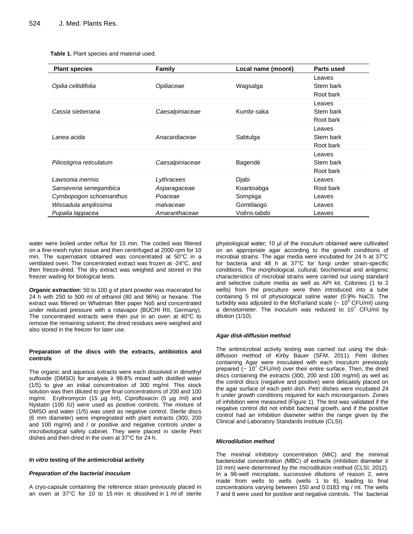|  | Table 1. Plant species and material used. |  |  |
|--|-------------------------------------------|--|--|
|--|-------------------------------------------|--|--|

| <b>Plant species</b>    | <b>Family</b>   | Local name (mooré) | Parts used                       |
|-------------------------|-----------------|--------------------|----------------------------------|
| Opilia celtidifolia     | Opiliaceae      | Wagsalga           | Leaves<br>Stem bark<br>Root bark |
| Cassia sieberiana       | Caesalpiniaceae | Kumbr-saka         | Leaves<br>Stem bark<br>Root bark |
| Lanea acida             | Anacardiaceae   | Sabtulga           | Leaves<br>Stem bark<br>Root bark |
| Piliostigma reticulatum | Caesalpiniaceae | Bagendé            | Leaves<br>Stem bark<br>Root bark |
| Lawsonia inermis        | Lythracees      | Djabi              | Leaves                           |
| Sanseveria senegambica  | Asparagaceae    | Koantoabga         | Root bark                        |
| Cymbopogon schoenanthus | Poaceae         | Sompiiga           | Leaves                           |
| Wissadula amplissima    | malvaceae       | Gomtilaogo         | Leaves                           |
| Pupalia lappacea        | Amaranthaceae   | Voêns-tabdo        | Leaves                           |

water were boiled under reflux for 15 min. The cooled was filtered on a fine-mesh nylon tissue and then centrifuged at 2000 rpm for 10 min. The supernatant obtained was concentrated at 50°C in a ventilated oven. The concentrated extract was frozen at -24°C, and then freeze-dried. The dry extract was weighed and stored in the freezer waiting for biological tests.

*Organic extraction:* 50 to 100 g of plant powder was macerated for 24 h with 250 to 500 ml of ethanol (80 and 96%) or hexane. The extract was filtered on Whatman filter paper No5 and concentrated under reduced pressure with a rotavapor (BÜCHI RII, Germany). The concentrated extracts were then put in an oven at 40°C to remove the remaining solvent; the dried residues were weighed and also stored in the freezer for later use.

#### **Preparation of the discs with the extracts, antibiotics and controls**

The organic and aqueous extracts were each dissolved in dimethyl sulfoxide (DMSO) for analysis ≥ 99.8% mixed with distilled water (1/5) to give an initial concentration of 300 mg/ml. This stock solution was then diluted to give final concentrations of 200 and 100 mg/ml. Erythromycin (15 µg /ml), Ciprofloxacin (5 µg /ml) and Nystatin (100 IU) were used as positive controls. The mixture of DMSO and water (1/5) was used as negative control. Sterile discs (6 mm diameter) were impregnated with plant extracts (300, 200 and 100 mg/ml) and / or positive and negative controls under a microbiological safety cabinet. They were placed in sterile Petri dishes and then dried in the oven at 37°C for 24 h.

#### *In vitro* **testing of the antimicrobial activity**

#### *Preparation of the bacterial inoculum*

A cryo-capsule containing the reference strain previously placed in an oven at 37°C for 10 to 15 min is dissolved in 1 ml of sterile

physiological water; 10 μl of the inoculum obtained were cultivated on an appropriate agar according to the growth conditions of microbial strains. The agar media were incubated for 24 h at 37°C for bacteria and 48 h at 37°C for fungi under strain-specific conditions. The morphological, cultural, biochemical and antigenic characteristics of microbial strains were carried out using standard and selective culture media as well as API kit. Colonies (1 to 2 wells) from the preculture were then introduced into a tube containing 5 ml of physiological saline water (0.9% NaCl). The turbidity was adjusted to the McFarland scale  $\sim 10^8$  CFU/ml) using a densitometer. The inoculum was reduced to  $10<sup>7</sup>$  CFU/ml by dilution (1/10).

#### *Agar disk-diffusion method*

The antimicrobial activity testing was carried out using the diskdiffusion method of Kirby Bauer (SFM, 2011). Petri dishes containing Agar were inoculated with each inoculum previously prepared  $\left(\sim 10^7$  CFU/ml) over their entire surface. Then, the dried discs containing the extracts (300, 200 and 100 mg/ml) as well as the control discs (negative and positive) were delicately placed on the agar surface of each petri dish. Petri dishes were incubated 24 h under growth conditions required for each microorganism. Zones of inhibition were measured (Figure 1). The test was validated if the negative control did not inhibit bacterial growth, and if the positive control had an inhibition diameter within the range given by the Clinical and Laboratory Standards Institute (CLSI).

#### *Microdilution method*

The minimal inhibitory concentration (MIC) and the minimal bactericidal concentration (MBC) of extracts (inhibition diameter ≥ 10 mm) were determined by the microdilution method (CLSI, 2012). In a 96-well microplate, successive dilutions of reason 2, were made from wells to wells (wells 1 to 6), leading to final concentrations varying between 150 and 0.0183 mg / ml. The wells 7 and 8 were used for positive and negative controls. The bacterial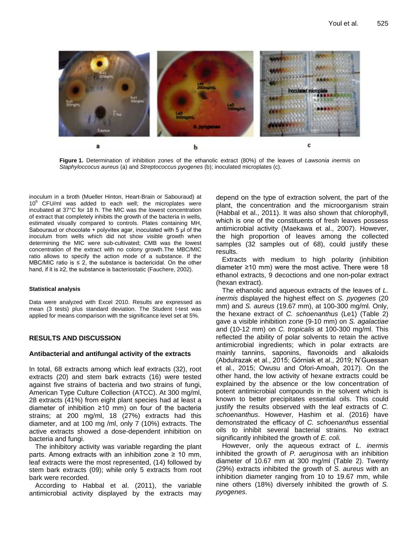

**Figure 1.** Determination of inhibition zones of the ethanolic extract (80%) of the leaves of *Lawsonia inermis* on *Staphyloccocus aureus* (a) and *Streptococcus pyogenes* (b); inoculated microplates (c).

inoculum in a broth (Mueller Hinton, Heart-Brain or Sabouraud) at 10<sup>6</sup> CFU/ml was added to each well; the microplates were incubated at 37°C for 18 h. The MIC was the lowest concentration of extract that completely inhibits the growth of the bacteria in wells, estimated visually compared to controls. Plates containing MH, Sabouraud or chocolate + polyvitex agar, inoculated with 5 μl of the inoculum from wells which did not show visible growth when determining the MIC were sub-cultivated; CMB was the lowest concentration of the extract with no colony growth.The MBC/MIC ratio allows to specify the action mode of a substance. If the MBC/MIC ratio is  $\leq$  2, the substance is bactericidal. On the other hand, if it is ≥2, the substance is bacteriostatic (Fauchere, 2002).

#### **Statistical analysis**

Data were analyzed with Excel 2010. Results are expressed as mean (3 tests) plus standard deviation. The Student t-test was applied for means comparison with the significance level set at 5%.

# **RESULTS AND DISCUSSION**

#### **Antibacterial and antifungal activity of the extracts**

In total, 68 extracts among which leaf extracts (32), root extracts (20) and stem bark extracts (16) were tested against five strains of bacteria and two strains of fungi, American Type Culture Collection (ATCC). At 300 mg/ml, 28 extracts (41%) from eight plant species had at least a diameter of inhibition ≥10 mm) on four of the bacteria strains; at 200 mg/ml, 18 (27%) extracts had this diameter, and at 100 mg /ml, only 7 (10%) extracts. The active extracts showed a dose-dependent inhibition on bacteria and fungi.

The inhibitory activity was variable regarding the plant parts. Among extracts with an inhibition zone  $\geq 10$  mm, leaf extracts were the most represented, (14) followed by stem bark extracts (09); while only 5 extracts from root bark were recorded.

According to Habbal et al. (2011), the variable antimicrobial activity displayed by the extracts may depend on the type of extraction solvent, the part of the plant, the concentration and the microorganism strain (Habbal et al., 2011). It was also shown that chlorophyll, which is one of the constituents of fresh leaves possess antimicrobial activity (Maekawa et al., 2007). However, the high proportion of leaves among the collected samples (32 samples out of 68), could justify these results.

Extracts with medium to high polarity (inhibition diameter ≥10 mm) were the most active. There were 18 ethanol extracts, 9 decoctions and one non-polar extract (hexan extract).

The ethanolic and aqueous extracts of the leaves of *L. inermis* displayed the highest effect on *S. pyogenes* (20 mm) and *S. aureus* (19.67 mm), at 100-300 mg/ml*.* Only, the hexane extract of *C. schoenanthus* (Le1) (Table 2) gave a visible inhibition zone (9-10 mm) on *S. agalactiae*  and (10-12 mm) on *C. tropicalis* at 100-300 mg/ml. This reflected the ability of polar solvents to retain the active antimicrobial ingredients; which in polar extracts are mainly tannins, saponins, flavonoids and alkaloids (Abdulrazak et al., 2015; Górniak et al., 2019; N'Guessan et al., 2015; Owusu and Ofori-Amoah, 2017). On the other hand, the low activity of hexane extracts could be explained by the absence or the low concentration of potent antimicrobial compounds in the solvent which is known to better precipitates essential oils. This could justify the results observed with the leaf extracts of *C. schoenanthus*. However, Hashim et al. (2016) have demonstrated the efficacy of *C. schoenanthus* essential oils to inhibit several bacterial strains. No extract significantly inhibited the growth of *E. coli.*

However, only the aqueous extract of *L. inermis* inhibited the growth of *P. aeruginosa* with an inhibition diameter of 10.67 mm at 300 mg/ml (Table 2). Twenty (29%) extracts inhibited the growth of *S. aureus* with an inhibition diameter ranging from 10 to 19.67 mm, while nine others (18%) diversely inhibited the growth of *S. pyogenes*.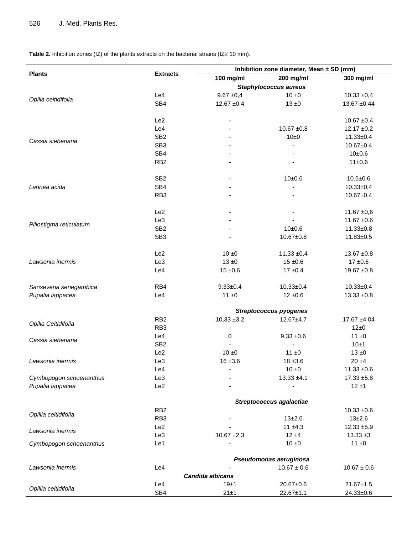**Table 2.** Inhibition zones (IZ) of the plants extracts on the bacterial strains (IZ $\ge$  10 mm).

|                         |                         | Inhibition zone diameter, Mean ± SD (mm) |                                |                    |  |  |  |
|-------------------------|-------------------------|------------------------------------------|--------------------------------|--------------------|--|--|--|
| <b>Plants</b>           | <b>Extracts</b>         | 100 mg/ml                                | 200 mg/ml                      | 300 mg/ml          |  |  |  |
|                         |                         |                                          | <b>Staphylococcus aureus</b>   |                    |  |  |  |
|                         | Le4                     | $9.67 + 0.4$                             | $10 \pm 0$                     | $10.33 + 0,4$      |  |  |  |
| Opilia celtidifolia     | SB4                     | $12.67 + 0.4$                            | $13 \pm 0$                     | $13.67 + 0.44$     |  |  |  |
|                         |                         |                                          |                                |                    |  |  |  |
|                         | Le <sub>2</sub>         |                                          | $\overline{\phantom{a}}$       | $10.67 + 0.4$      |  |  |  |
|                         | Le4                     |                                          | $10.67 + 0.8$                  | $12.17 \pm 0.2$    |  |  |  |
| Cassia sieberiana       | SB <sub>2</sub>         |                                          | 10±0                           | $11.33 + 0.4$      |  |  |  |
|                         | SB <sub>3</sub>         |                                          |                                | $10.67 + 0.4$      |  |  |  |
|                         | SB4                     |                                          |                                | 10±0.6             |  |  |  |
|                         | RB <sub>2</sub>         |                                          |                                | 11±0.6             |  |  |  |
|                         | SB <sub>2</sub>         |                                          | 10±0.6                         | $10.5 \pm 0.6$     |  |  |  |
| Lannea acida            | SB4                     |                                          |                                | $10.33 \pm 0.4$    |  |  |  |
|                         | RB <sub>3</sub>         |                                          |                                | $10.67 + 0.4$      |  |  |  |
|                         |                         |                                          |                                |                    |  |  |  |
|                         | Le2                     |                                          | $\overline{\phantom{a}}$       | $11.67 + 0.6$      |  |  |  |
|                         | Le <sub>3</sub>         |                                          |                                | $11.67 + 0.6$      |  |  |  |
| Piliostigma reticulatum | SB <sub>2</sub>         |                                          | 10±0.6                         | $11.33 + 0.8$      |  |  |  |
|                         | SB <sub>3</sub>         |                                          | $10.67 + 0.8$                  | $11.83 + 0.5$      |  |  |  |
|                         |                         |                                          |                                |                    |  |  |  |
|                         | Le2                     | $10 \pm 0$                               | $11,33 \pm 0,4$                | $13.67 + 0.8$      |  |  |  |
| Lawsonia inermis        | Le <sub>3</sub>         | $13 \pm 0$                               | $15 \pm 0.6$                   | $17{\pm}0.6$       |  |  |  |
|                         | Le4                     | $15 \pm 0,6$                             | $17 + 0.4$                     | $19.67 + 0.8$      |  |  |  |
| Sanseveria senegambica  | RB4                     | $9.33 + 0.4$                             | $10.33 + 0.4$                  | $10.33 \pm 0.4$    |  |  |  |
| Pupalia lappacea        | Le4                     | 11 ± 0                                   | $12 \pm 0.6$                   | $13.33 + 0.8$      |  |  |  |
|                         |                         |                                          |                                |                    |  |  |  |
|                         |                         |                                          | <b>Streptococcus pyogenes</b>  |                    |  |  |  |
| Opilia Celtidifolia     | RB <sub>2</sub>         | $10,33 \pm 3.2$                          | $12.67 + 4.7$                  | 17.67 ±4.04        |  |  |  |
|                         | RB <sub>3</sub>         | $\overline{a}$                           | $\blacksquare$<br>$9.33 + 0.6$ | 12±0               |  |  |  |
| Cassia sieberiana       | Le4<br>SB <sub>2</sub>  | 0                                        | $\blacksquare$                 | $11 \pm 0$<br>10±1 |  |  |  |
|                         | Le <sub>2</sub>         | $10 \pm 0$                               | $11 \pm 0$                     | $13 \pm 0$         |  |  |  |
| Lawsonia inermis        | Le <sub>3</sub>         | $16 + 3.6$                               | $18 + 3.6$                     | $20 + 4$           |  |  |  |
|                         | Le4                     |                                          | 10±0                           | $11.33 + 0.6$      |  |  |  |
| Cymbopogon schoenanthus | Le3                     |                                          | $13.33 + 4.1$                  | $17.33 + 5.8$      |  |  |  |
| Pupalia lappacea        | Le2                     |                                          | $\blacksquare$                 | $12 + 1$           |  |  |  |
|                         |                         |                                          |                                |                    |  |  |  |
|                         |                         |                                          | Streptococcus agalactiae       |                    |  |  |  |
| Opillia celtidifolia    | RB <sub>2</sub>         |                                          |                                | $10.33 + 0.6$      |  |  |  |
|                         | RB <sub>3</sub>         |                                          | $13 + 2.6$                     | $13 + 2.6$         |  |  |  |
| Lawsonia inermis        | Le2                     |                                          | $11 + 4.3$                     | $12.33 + 5.9$      |  |  |  |
|                         | Le <sub>3</sub>         | $10.67 + 2.3$                            | $12 + 4$                       | $13.33 \pm 3$      |  |  |  |
| Cymbopogon schoenanthus | Le1                     |                                          | $10 \pm 0$                     | $11 \pm 0$         |  |  |  |
|                         | Pseudomonas aeruginosa  |                                          |                                |                    |  |  |  |
| Lawsonia inermis        | Le4                     |                                          | $10.67 \pm 0.6$                | $10.67 \pm 0.6$    |  |  |  |
|                         | <b>Candida albicans</b> |                                          |                                |                    |  |  |  |
|                         | Le4                     | 19±1                                     | 20.67±0.6                      | $21.67 \pm 1.5$    |  |  |  |
| Opillia celtidifolia    | SB4                     | 21±1                                     | $22.67 \pm 1.1$                | 24.33±0.6          |  |  |  |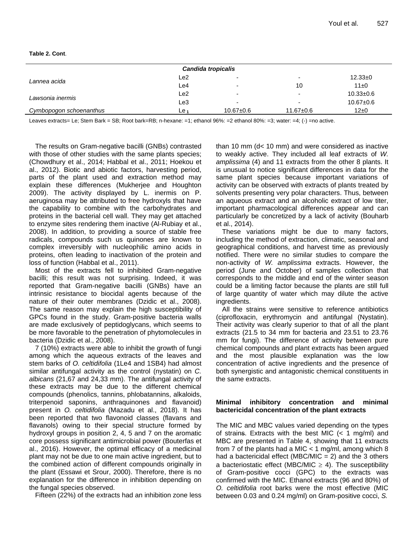## **Table 2. Cont**.

| Candida tropicalis      |                    |                          |                          |                 |  |  |
|-------------------------|--------------------|--------------------------|--------------------------|-----------------|--|--|
| Lannea acida            | Le2                |                          | $\overline{\phantom{0}}$ | $12.33+0$       |  |  |
|                         | Le4                |                          | 10                       | $11\pm0$        |  |  |
| Lawsonia inermis        | Le2                |                          | $\overline{\phantom{0}}$ | $10.33 \pm 0.6$ |  |  |
|                         | Le3                | $\overline{\phantom{0}}$ | $\overline{\phantom{0}}$ | $10.67 \pm 0.6$ |  |  |
| Cymbopogon schoenanthus | $E$ e <sub>1</sub> | $10.67 \pm 0.6$          | $11.67 \pm 0.6$          | $12\pm0$        |  |  |

Leaves extracts= Le; Stem Bark = SB; Root bark=RB; n-hexane: =1; ethanol 96%: =2 ethanol 80%: =3; water: =4; (-) =no active.

The results on Gram-negative bacilli (GNBs) contrasted with those of other studies with the same plants species; (Chowdhury et al., 2014; Habbal et al., 2011; Hoekou et al., 2012). Biotic and abiotic factors, harvesting period, parts of the plant used and extraction method may explain these differences (Mukherjee and Houghton 2009). The activity displayed by L. inermis on P. aeruginosa may be attributed to free hydroxyls that have the capability to combine with the carbohydrates and proteins in the bacterial cell wall. They may get attached to enzyme sites rendering them inactive (Al-Rubiay et al., 2008). In addition, to providing a source of stable free radicals, compounds such us quinones are known to complex irreversibly with nucleophilic amino acids in proteins, often leading to inactivation of the protein and loss of function (Habbal et al., 2011).

Most of the extracts fell to inhibited Gram-negative bacilli; this result was not surprising. Indeed, it was reported that Gram-negative bacilli (GNBs) have an intrinsic resistance to biocidal agents because of the nature of their outer membranes (Dzidic et al., 2008). The same reason may explain the high susceptibility of GPCs found in the study. Gram-positive bacteria walls are made exclusively of peptidoglycans, which seems to be more favorable to the penetration of phytomolecules in bacteria (Dzidic et al., 2008).

7 (10%) extracts were able to inhibit the growth of fungi among which the aqueous extracts of the leaves and stem barks of *O. celtidifolia* (1Le4 and 1SB4) had almost similar antifungal activity as the control (nystatin) on *C. albicans* (21,67 and 24,33 mm). The antifungal activity of these extracts may be due to the different chemical compounds (phenolics, tannins, phlobatannins, alkaloids, triterpenoid saponins, anthraquinones and flavanoid) present in *O. celtidifolia* (Mazadu et al., 2018). It has been reported that two flavonoid classes (flavans and flavanols) owing to their special structure formed by hydroxyl groups in position 2, 4, 5 and 7 on the aromatic core possess significant antimicrobial power (Bouterfas et al., 2016). However, the optimal efficacy of a medicinal plant may not be due to one main active ingredient, but to the combined action of different compounds originally in the plant (Essawi et Srour, 2000). Therefore, there is no explanation for the difference in inhibition depending on the fungal species observed.

Fifteen (22%) of the extracts had an inhibition zone less

than 10 mm (d< 10 mm) and were considered as inactive to weakly active. They included all leaf extracts of *W. amplissima* (4) and 11 extracts from the other 8 plants. It is unusual to notice significant differences in data for the same plant species because important variations of activity can be observed with extracts of plants treated by solvents presenting very polar characters. Thus, between an aqueous extract and an alcoholic extract of low titer, important pharmacological differences appear and can particularly be concretized by a lack of activity (Bouharb et al., 2014).

These variations might be due to many factors, including the method of extraction, climatic, seasonal and geographical conditions, and harvest time as previously notified. There were no similar studies to compare the non-activity of *W. amplissima* extracts. However, the period (June and October) of samples collection that corresponds to the middle and end of the winter season could be a limiting factor because the plants are still full of large quantity of water which may dilute the active ingredients.

All the strains were sensitive to reference antibiotics (ciprofloxacin, erythromycin and antifungal (Nystatin). Their activity was clearly superior to that of all the plant extracts (21.5 to 34 mm for bacteria and 23.51 to 23.76 mm for fungi). The difference of activity between pure chemical compounds and plant extracts has been argued and the most plausible explanation was the low concentration of active ingredients and the presence of both synergistic and antagonistic chemical constituents in the same extracts.

# **Minimal inhibitory concentration and minimal bactericidal concentration of the plant extracts**

The MIC and MBC values varied depending on the types of strains. Extracts with the best MIC  $(< 1$  mg/ml) and MBC are presented in Table 4, showing that 11 extracts from 7 of the plants had a MIC  $<$  1 mg/ml, among which 8 had a bactericidal effect (MBC/MIC  $= 2$ ) and the 3 others a bacteriostatic effect (MBC/MIC  $\geq$  4). The susceptibility of Gram-positive cocci (GPC) to the extracts was confirmed with the MIC. Ethanol extracts (96 and 80%) of *O. celtidifolia* root barks were the most effective (MIC between 0.03 and 0.24 mg/ml) on Gram-positive cocci, *S.*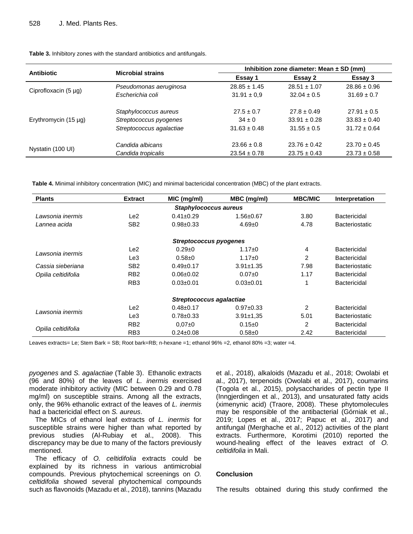| <b>Antibiotic</b>         | <b>Microbial strains</b> | Inhibition zone diameter: Mean $\pm$ SD (mm) |                  |                  |
|---------------------------|--------------------------|----------------------------------------------|------------------|------------------|
|                           |                          | Essay 1                                      | Essay 2          | Essay 3          |
| Ciprofloxacin $(5 \mu g)$ | Pseudomonas aeruginosa   | $28.85 \pm 1.45$                             | $28.51 \pm 1.07$ | $28.86 \pm 0.96$ |
|                           | Escherichia coli         | $31.91 \pm 0.9$                              | $32.04 \pm 0.5$  | $31.69 \pm 0.7$  |
| Erythromycin $(15 \mu g)$ | Staphylococcus aureus    | $27.5 \pm 0.7$                               | $27.8 \pm 0.49$  | $27.91 \pm 0.5$  |
|                           | Streptococcus pyogenes   | $34 \pm 0$                                   | $33.91 \pm 0.28$ | $33.83 \pm 0.40$ |
|                           | Streptococcus agalactiae | $31.63 \pm 0.48$                             | $31.55 \pm 0.5$  | $31.72 \pm 0.64$ |
| Nystatin (100 UI)         | Candida albicans         | $23.66 \pm 0.8$                              | $23.76 \pm 0.42$ | $23.70 \pm 0.45$ |
|                           | Candida tropicalis       | $23.54 \pm 0.78$                             | $23.75 \pm 0.43$ | $23.73 \pm 0.58$ |

**Table 3.** Inhibitory zones with the standard antibiotics and antifungals.

**Table 4.** Minimal inhibitory concentration (MIC) and minimal bactericidal concentration (MBC) of the plant extracts.

| <b>Plants</b>                 | <b>Extract</b>   | MIC (mg/ml)     | MBC (mg/ml)     | <b>MBC/MIC</b> | Interpretation        |  |  |
|-------------------------------|------------------|-----------------|-----------------|----------------|-----------------------|--|--|
| <b>Staphylococcus aureus</b>  |                  |                 |                 |                |                       |  |  |
| Lawsonia inermis              | Le2              | $0.41 \pm 0.29$ | $1.56 \pm 0.67$ | 3.80           | Bactericidal          |  |  |
| Lannea acida                  | SB <sub>2</sub>  | $0.98 + 0.33$   | $4.69 \pm 0$    | 4.78           | <b>Bacteriostatic</b> |  |  |
| <b>Streptococcus pyogenes</b> |                  |                 |                 |                |                       |  |  |
| Lawsonia inermis              | Le2              | $0.29 \pm 0$    | $1.17 \pm 0$    | 4              | Bactericidal          |  |  |
|                               | Le <sub>3</sub>  | $0.58 + 0$      | $1.17 + 0$      | 2              | <b>Bactericidal</b>   |  |  |
| Cassia sieberiana             | SB <sub>2</sub>  | $0.49 \pm 0.17$ | $3.91 \pm 1.35$ | 7.98           | <b>Bacteriostatic</b> |  |  |
| Opilia celtidifolia           | R <sub>B2</sub>  | $0.06 \pm 0.02$ | $0.07+0$        | 1.17           | Bactericidal          |  |  |
|                               | R <sub>B</sub> 3 | $0.03 + 0.01$   | $0.03 \pm 0.01$ | 1              | Bactericidal          |  |  |
| Streptococcus agalactiae      |                  |                 |                 |                |                       |  |  |
| Lawsonia inermis              | Le2              | $0.48 \pm 0.17$ | $0.97 + 0.33$   | 2              | Bactericidal          |  |  |
|                               | Le3              | $0.78 \pm 0.33$ | $3.91 \pm 1.35$ | 5.01           | <b>Bacteriostatic</b> |  |  |
| Opilia celtidifolia           | R <sub>B2</sub>  | $0.07 + 0$      | 0.15 ± 0        | 2              | <b>Bactericidal</b>   |  |  |
|                               | RB <sub>3</sub>  | $0.24 \pm 0.08$ | $0.58 + 0$      | 2.42           | Bactericidal          |  |  |

Leaves extracts= Le; Stem Bark = SB; Root bark=RB; n-hexane =1; ethanol 96% =2, ethanol 80% =3; water =4.

*pyogenes* and *S. agalactiae* (Table 3). Ethanolic extracts (96 and 80%) of the leaves of *L. inermis* exercised moderate inhibitory activity (MIC between 0.29 and 0.78 mg/ml) on susceptible strains. Among all the extracts, only, the 96% ethanolic extract of the leaves of *L. inermis* had a bactericidal effect on *S. aureus*.

The MICs of ethanol leaf extracts of *L. inermis* for susceptible strains were higher than what reported by previous studies (Al-Rubiay et al., 2008). This discrepancy may be due to many of the factors previously mentioned.

The efficacy of *O. celtidifolia* extracts could be explained by its richness in various antimicrobial compounds. Previous phytochemical screenings on *O. celtidifolia* showed several phytochemical compounds such as flavonoids (Mazadu et al., 2018), tannins (Mazadu et al., 2018), alkaloids (Mazadu et al., 2018; Owolabi et al., 2017), terpenoids (Owolabi et al., 2017), coumarins (Togola et al., 2015), polysaccharides of pectin type II (Inngjerdingen et al., 2013), and unsaturated fatty acids (ximenynic acid) (Traore, 2008). These phytomolecules may be responsible of the antibacterial (Górniak et al., 2019; Lopes et al., 2017; Papuc et al., 2017) and antifungal (Merghache et al., 2012) activities of the plant extracts. Furthermore, Korotimi (2010) reported the wound-healing effect of the leaves extract of *O. celtidifolia* in Mali.

# **Conclusion**

The results obtained during this study confirmed the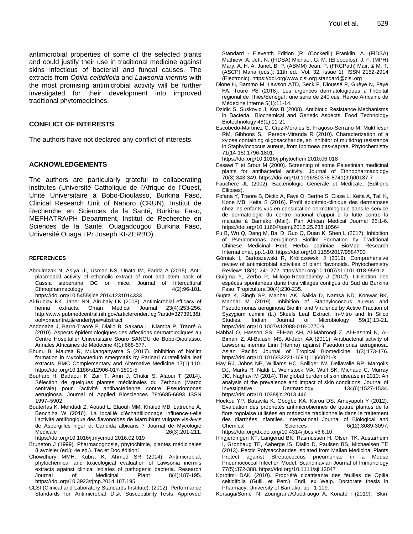antimicrobial properties of some of the selected plants and could justify their use in traditional medicine against skins infectious of bacterial and fungal causes. The extracts from *Opilia celtidifolia* and *Lawsonia inermis* with the most promising antimicrobial activity will be further investigated for their development into improved traditional phytomedicines.

# **CONFLICT OF INTERESTS**

The authors have not declared any conflict of interests.

## **ACKNOWLEDGEMENTS**

The authors are particularly grateful to collaborating institutes (Université Catholique de l'Afrique de l'Ouest, Unité Universitaire à Bobo-Dioulasso, Burkina Faso, Clinical Research Unit of Nanoro (CRUN), Institut de Recherche en Sciences de la Santé, Burkina Faso, MEPHATRA/PH Department, Institut de Recherche en Sciences de la Santé, Ouagadougou Burkina Faso, Université Ouaga I Pr Joseph KI-ZERBO)

#### **REFERENCES**

- Abdulrazak N, Asiya UI, Usman NS, Unata IM, Farida A (2015). Antiplasmodial activity of ethanolic extract of root and stem back of Cassia sieberiana DC on mice. Journal of Intercultural Ethnopharmacology 4(2):96-101. https://doi.org/10.5455/jice.20141231014333
- Al-Rubiay KK, Jaber NN, Alrubaiy LK (2008). Antimicrobial efficacy of henna extracts. Oman Medical Journal 23(4):253-256. http://www.pubmedcentral.nih.gov/articlerender.fcgi?artid=3273913&t ool=pmcentrez&rendertype=abstract
- Andonaba J, Barro-Traoré F, Diallo B, Sakana L, Niamba P, Traoré A (2010). Aspects épidémiologiques des affections dermatologiques au Centre Hospitalier Universitaire Souro SANOU de Bobo-Dioulasso. Annales Africaines de Médecine 4(1):668-677.
- Bhunu B, Mautsa R, Mukanganyama S (2017). Inhibition of biofilm formation in Mycobacterium smegmatis by Parinari curatellifolia leaf extracts. BMC Complementary and Alternative Medicine 17(1):110. https://doi.org/10.1186/s12906-017-1801-5
- Bouharb H, Badaoui K, Zair T, Amri J, Chakir S, Alaoui T (2014). Sélection de quelques plantes médicinales du Zerhoun (Maroc centrale) pour l'activité antibactérienne contre Pseudomonas aeruginosa. Journal of Applied Biosciences 78:6685-6693 ISSN 1997–5902
- Bouterfas K, Mehdadi Z, Aouad L, Elaoufi MM, Khaled MB, Latreche A, Benchiha W (2016). La localité d'échantillonnage influence-t-elle l'activité antifongique des flavonoïdes de Marrubium vulgare vis-à-vis de Aspergillus niger et Candida albicans ? Journal de Mycologie Medicale 26(3):201-211.

https://doi.org/10.1016/j.mycmed.2016.02.019

- Bruneton J (1999). Pharmacognosie, phytochimie, plantes médicinales (Lavoisier (ed.); 4e ed.). Tec et Doc édition1.
- Chowdhury MMH, Kubra K, Ahmed SR (2014). Antimicrobial, phytochemical and toxicological evaluation of Lawsonia inermis extracts against clinical isolates of pathogenic bacteria. Research Journal of Medicinal Plant 8(4):187-195. https://doi.org/10.3923/rjmp.2014.187.195
- CLSI (Clinical and Laboratory Standards Institute). (2012). Performance Standards for Antimicrobial Disk Susceptibility Tests; Approved

 Standard - Eleventh Edition (R. (Cockerill) Franklin, A. (FIDSA) Mathiew, A. Jeff, N. (FIDSA) Michael, G. M. (Eliopoulos), J. F. (MPH) Mary, A. H. A. Janet, B. P. (ABMM) Jean, P. (FRCPath) Mair, & M. T. (ASCP) Maria (eds.); 11th ed., Vol. 32, Issue 1). ISSN 2162-2914 (Electronic). https://doi.org/www.clsi.org standard@clsi.org

- Dione H, Bammo M, Lawson ATD, Seck F, Dioussé P, Guèye N, Faye FA, Touré PS (2018). Les urgences dermatologiques à l'hôpital régional de Thiès/Sénégal : une série de 240 cas. Revue Africaine de Médecine Interne 5(1):11-14.
- Dzidic S, Suskovic J, Kos B (2008). Antibiotic Resistance Mechanisms in Bacteria : Biochemical and Genetic Aspects. Food Technology Biotechnology 46(1):11-21.
- Escobedo-Martínez C, Cruz-Morales S, Fragoso-Serrano M, Mukhlesur RM, Gibbons S, Pereda-Miranda R (2010). Characterization of a xylose containing oligosaccharide, an inhibitor of multidrug resistance in Staphylococcus aureus, from Ipomoea pes-caprae. Phytochemistry 71(14-15):1796-1801.

https://doi.org/10.1016/j.phytochem.2010.06.018

- Essawi T et Srour M (2000). Screening of some Palestinian medicinal plants for antibacterial activity. Journal of Ethnopharmacology 70(3):343-349. https://doi.org/10.1016/S0378-8741(99)00187-7
- Fauchere JL (2002). Bactériologie Générale et Médicale, (Editions Ellipses).
- Fofana Y, Traore B, Dicko A, Faye O, Berthe S, Cisse L, Keita A, Tall K, Kone MB, Keita S (2016). Profil épidémio-clinique des dermatoses chez les enfants vus en consultation dermatologique dans le service de dermatologie du centre national d'appui à la lutte contre la maladie à Bamako (Mali). Pan African Medical Journal 25:1-6. https://doi.org/10.11604/pamj.2016.25.238.10564
- Fu B, Wu Q, Dang M, Bai D, Guo Q, Duan K, Shen L (2017). Inhibition of Pseudomonas aeruginosa Biofilm Formation by Traditional Chinese Medicinal Herb Herba patriniae. BioMed Research International, pp.1-10. https://doi.org/10.1155/2017/9584703
- Górniak I, Bartoszewski R, Króliczewski J (2019). Comprehensive review of antimicrobial activities of plant flavonoids. Phytochemistry Reviews 18(1): 241-272. https://doi.org/10.1007/s11101-018-9591-z
- Guigma Y, Zerbo P, Millogo-Rasolodimby J (2012). Utilisation des espèces spontanées dans trois villages contigus du Sud du Burkina Faso. Tropicultura 30(4):230-235.
- Gupta K, Singh SP, Manhar AK, Saikia D, Namsa ND, Konwar BK, Mandal M (2019). Inhibition of Staphylococcus aureus and Pseudomonas aeruginosa Biofilm and Virulence by Active Fraction of Syzygium cumini (L.) Skeels Leaf Extract: In-Vitro and In Silico Studies. Indian Journal of Microbiology 59(1):13-21. https://doi.org/10.1007/s12088-018-0770-9
- Habbal O, Hasson SS, El-Hag AH, Al-Mahrooqi Z, Al-Hashmi N, Al-Bimani Z, Al-Balushi MS, Al-Jabri AA (2011). Antibacterial activity of Lawsonia inermis Linn (Henna) against Pseudomonas aeruginosa. Asian Pacific Journal of Tropical Biomedicine 1(3):173-176. https://doi.org/10.1016/S2221-1691(11)60021-X
- Hay RJ, Johns NE, Williams HC, Bolliger IW, Dellavalle RP, Margolis DJ, Marks R, Naldi L, Weinstock MA, Wulf SK, Michaud C, Murray JlC, Naghavi M (2014). The global burden of skin disease in 2010: An analysis of the prevalence and impact of skin conditions. Journal of Investigative Dermatology 134(6):1527-1534. Investigative Dermatology 134(6):1527-1534. https://doi.org/10.1038/jid.2013.446
- Hoekou YP, Batawila K, Gbogbo KA, Karou DS, Ameyapoh Y (2012). Evaluation des propriétés antimicrobiennes de quatre plantes de la flore togolaise utilisées en médecine traditionnelle dans le traitement des diarrhées infantiles. International Journal of Biological and Chemical Sciences 6(12):3089-3097. https://doi.org/dx.doi.org/10.4314/ijbcs.v6i6.10
- Inngjerdingen KT, Langerud BK, Rasmussen H, Olsen TK, Austarheim I, Grønhaug TE, Aaberge IS, Diallo D, Paulsen BS, Michaelsen TE (2013). Pectic Polysaccharides Isolated from Malian Medicinal Plants Protect against Streptococcus pneumoniae in a Mouse Pneumococcal Infection Model. Scandinavian Journal of Immunology 77(5):372-388. https://doi.org/10.1111/sji.12047
- Korotimi DAK (2010). Propriété cicatrisante des feuilles de Opilia celtidifolia (Guill. et Perr.) Endl. ex Walp. Doctorate thesis in Pharmacy, University of Bamako, pp. 1-109.
- Korsaga/Somé N, Zoungrana/Ouédraogo A, Konaté I (2019). Skin